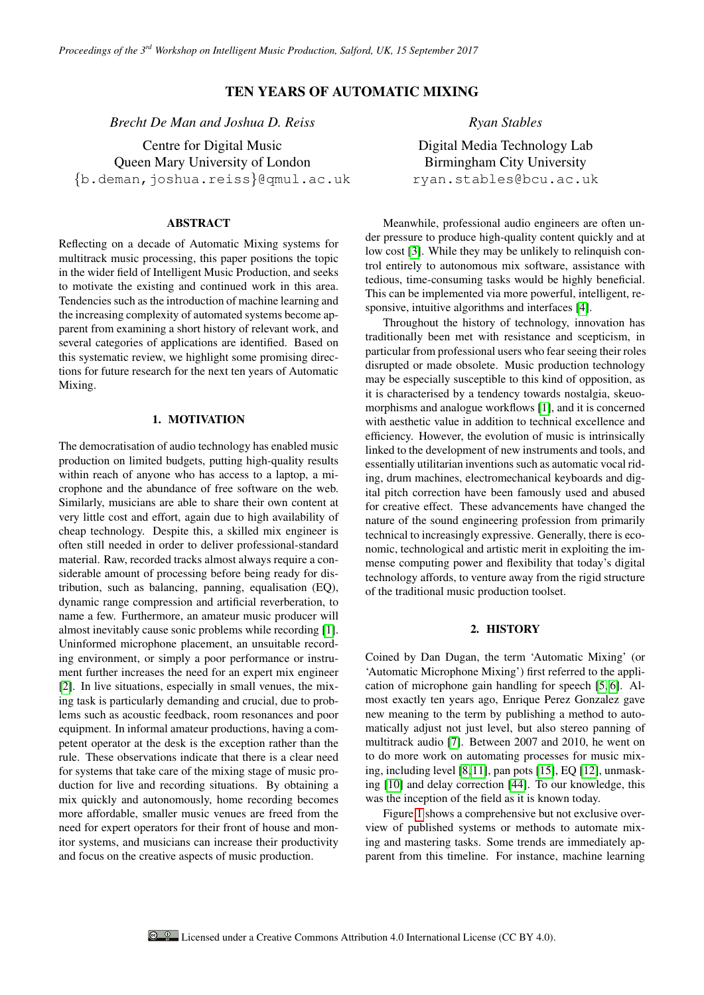# TEN YEARS OF AUTOMATIC MIXING

*Brecht De Man and Joshua D. Reiss*

Centre for Digital Music Queen Mary University of London {b.deman,joshua.reiss}@qmul.ac.uk

### ABSTRACT

Reflecting on a decade of Automatic Mixing systems for multitrack music processing, this paper positions the topic in the wider field of Intelligent Music Production, and seeks to motivate the existing and continued work in this area. Tendencies such as the introduction of machine learning and the increasing complexity of automated systems become apparent from examining a short history of relevant work, and several categories of applications are identified. Based on this systematic review, we highlight some promising directions for future research for the next ten years of Automatic Mixing.

## 1. MOTIVATION

The democratisation of audio technology has enabled music production on limited budgets, putting high-quality results within reach of anyone who has access to a laptop, a microphone and the abundance of free software on the web. Similarly, musicians are able to share their own content at very little cost and effort, again due to high availability of cheap technology. Despite this, a skilled mix engineer is often still needed in order to deliver professional-standard material. Raw, recorded tracks almost always require a considerable amount of processing before being ready for distribution, such as balancing, panning, equalisation (EQ), dynamic range compression and artificial reverberation, to name a few. Furthermore, an amateur music producer will almost inevitably cause sonic problems while recording [\[1\]](#page-2-0). Uninformed microphone placement, an unsuitable recording environment, or simply a poor performance or instrument further increases the need for an expert mix engineer [\[2\]](#page-2-1). In live situations, especially in small venues, the mixing task is particularly demanding and crucial, due to problems such as acoustic feedback, room resonances and poor equipment. In informal amateur productions, having a competent operator at the desk is the exception rather than the rule. These observations indicate that there is a clear need for systems that take care of the mixing stage of music production for live and recording situations. By obtaining a mix quickly and autonomously, home recording becomes more affordable, smaller music venues are freed from the need for expert operators for their front of house and monitor systems, and musicians can increase their productivity and focus on the creative aspects of music production.

*Ryan Stables*

Digital Media Technology Lab Birmingham City University ryan.stables@bcu.ac.uk

Meanwhile, professional audio engineers are often under pressure to produce high-quality content quickly and at low cost [\[3\]](#page-3-0). While they may be unlikely to relinquish control entirely to autonomous mix software, assistance with tedious, time-consuming tasks would be highly beneficial. This can be implemented via more powerful, intelligent, responsive, intuitive algorithms and interfaces [\[4\]](#page-3-1).

Throughout the history of technology, innovation has traditionally been met with resistance and scepticism, in particular from professional users who fear seeing their roles disrupted or made obsolete. Music production technology may be especially susceptible to this kind of opposition, as it is characterised by a tendency towards nostalgia, skeuomorphisms and analogue workflows [\[1\]](#page-2-0), and it is concerned with aesthetic value in addition to technical excellence and efficiency. However, the evolution of music is intrinsically linked to the development of new instruments and tools, and essentially utilitarian inventions such as automatic vocal riding, drum machines, electromechanical keyboards and digital pitch correction have been famously used and abused for creative effect. These advancements have changed the nature of the sound engineering profession from primarily technical to increasingly expressive. Generally, there is economic, technological and artistic merit in exploiting the immense computing power and flexibility that today's digital technology affords, to venture away from the rigid structure of the traditional music production toolset.

### 2. HISTORY

Coined by Dan Dugan, the term 'Automatic Mixing' (or 'Automatic Microphone Mixing') first referred to the application of microphone gain handling for speech [\[5,](#page-3-2) [6\]](#page-3-3). Almost exactly ten years ago, Enrique Perez Gonzalez gave new meaning to the term by publishing a method to automatically adjust not just level, but also stereo panning of multitrack audio [\[7\]](#page-3-4). Between 2007 and 2010, he went on to do more work on automating processes for music mixing, including level [\[8,](#page-3-5)[11\]](#page-3-6), pan pots [\[15\]](#page-3-7), EQ [\[12\]](#page-3-8), unmasking [\[10\]](#page-3-9) and delay correction [\[44\]](#page-4-0). To our knowledge, this was the inception of the field as it is known today.

Figure [1](#page-1-0) shows a comprehensive but not exclusive overview of published systems or methods to automate mixing and mastering tasks. Some trends are immediately apparent from this timeline. For instance, machine learning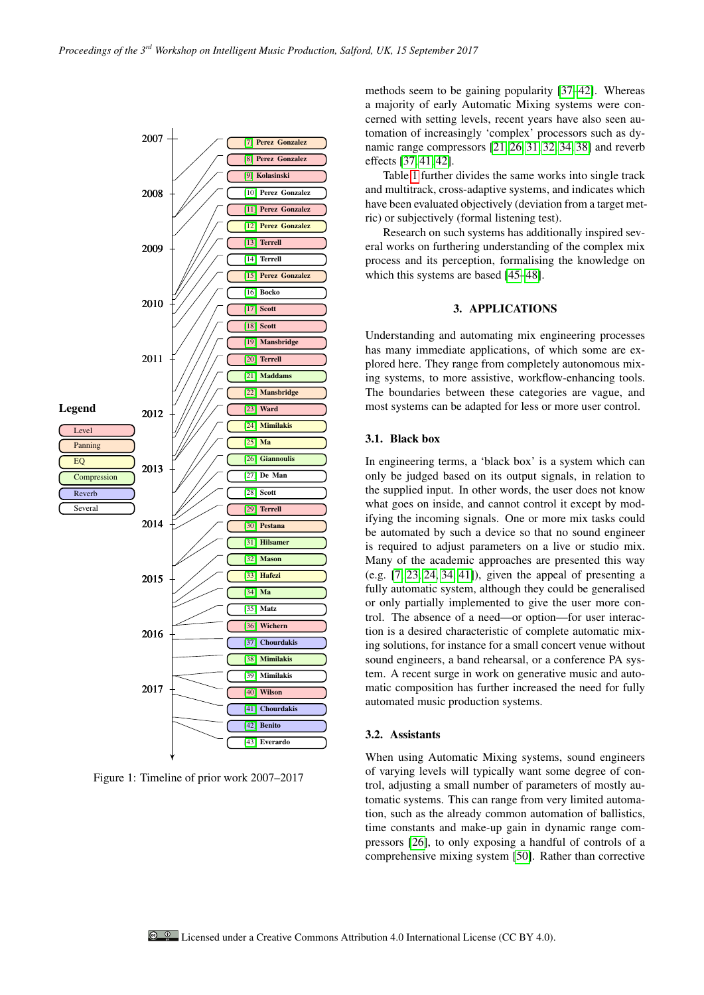

<span id="page-1-0"></span>Figure 1: Timeline of prior work 2007–2017

methods seem to be gaining popularity [\[37–](#page-4-2)[42\]](#page-4-7). Whereas a majority of early Automatic Mixing systems were concerned with setting levels, recent years have also seen automation of increasingly 'complex' processors such as dynamic range compressors [\[21,](#page-3-18) [26,](#page-3-23) [31,](#page-3-28) [32,](#page-3-29) [34,](#page-3-31) [38\]](#page-4-3) and reverb effects [\[37,](#page-4-2) [41,](#page-4-6) [42\]](#page-4-7).

Table [1](#page-2-2) further divides the same works into single track and multitrack, cross-adaptive systems, and indicates which have been evaluated objectively (deviation from a target metric) or subjectively (formal listening test).

Research on such systems has additionally inspired several works on furthering understanding of the complex mix process and its perception, formalising the knowledge on which this systems are based [\[45–](#page-4-9)[48\]](#page-4-10).

### 3. APPLICATIONS

Understanding and automating mix engineering processes has many immediate applications, of which some are explored here. They range from completely autonomous mixing systems, to more assistive, workflow-enhancing tools. The boundaries between these categories are vague, and most systems can be adapted for less or more user control.

## 3.1. Black box

In engineering terms, a 'black box' is a system which can only be judged based on its output signals, in relation to the supplied input. In other words, the user does not know what goes on inside, and cannot control it except by modifying the incoming signals. One or more mix tasks could be automated by such a device so that no sound engineer is required to adjust parameters on a live or studio mix. Many of the academic approaches are presented this way (e.g. [\[7,](#page-3-4) [23,](#page-3-20) [24,](#page-3-21) [34,](#page-3-31) [41\]](#page-4-6)), given the appeal of presenting a fully automatic system, although they could be generalised or only partially implemented to give the user more control. The absence of a need—or option—for user interaction is a desired characteristic of complete automatic mixing solutions, for instance for a small concert venue without sound engineers, a band rehearsal, or a conference PA system. A recent surge in work on generative music and automatic composition has further increased the need for fully automated music production systems.

### 3.2. Assistants

When using Automatic Mixing systems, sound engineers of varying levels will typically want some degree of control, adjusting a small number of parameters of mostly automatic systems. This can range from very limited automation, such as the already common automation of ballistics, time constants and make-up gain in dynamic range compressors [\[26\]](#page-3-23), to only exposing a handful of controls of a comprehensive mixing system [\[50\]](#page-4-11). Rather than corrective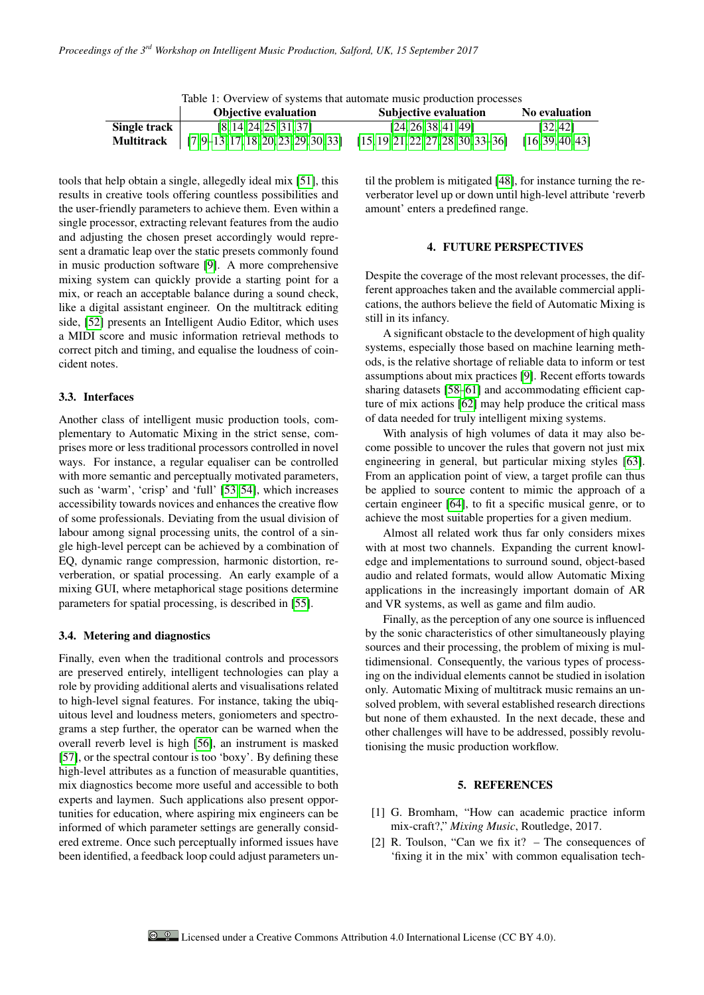| Table 1: Overview of systems that automate music production processes |                                                             |                                       |                  |
|-----------------------------------------------------------------------|-------------------------------------------------------------|---------------------------------------|------------------|
|                                                                       | <b>Objective evaluation</b>                                 | <b>Subjective evaluation</b>          | No evaluation    |
| Single track                                                          | [8, 14, 24, 25, 31, 37]                                     | [24, 26, 38, 41, 49]                  | [32, 42]         |
| <b>Multitrack</b>                                                     | $\begin{bmatrix} 7,9-13,17,18,20,23,29,30,33 \end{bmatrix}$ | $[15, 19, 21, 22, 27, 28, 30, 33-36]$ | [16, 39, 40, 43] |

<span id="page-2-2"></span> $That 1: O<sub>transitive</sub> of equations the$ 

tools that help obtain a single, allegedly ideal mix [\[51\]](#page-4-13), this results in creative tools offering countless possibilities and the user-friendly parameters to achieve them. Even within a single processor, extracting relevant features from the audio and adjusting the chosen preset accordingly would represent a dramatic leap over the static presets commonly found in music production software [\[9\]](#page-3-10). A more comprehensive mixing system can quickly provide a starting point for a mix, or reach an acceptable balance during a sound check, like a digital assistant engineer. On the multitrack editing side, [\[52\]](#page-4-14) presents an Intelligent Audio Editor, which uses a MIDI score and music information retrieval methods to correct pitch and timing, and equalise the loudness of coincident notes.

#### 3.3. Interfaces

Another class of intelligent music production tools, complementary to Automatic Mixing in the strict sense, comprises more or less traditional processors controlled in novel ways. For instance, a regular equaliser can be controlled with more semantic and perceptually motivated parameters, such as 'warm', 'crisp' and 'full' [\[53,](#page-4-15) [54\]](#page-4-16), which increases accessibility towards novices and enhances the creative flow of some professionals. Deviating from the usual division of labour among signal processing units, the control of a single high-level percept can be achieved by a combination of EQ, dynamic range compression, harmonic distortion, reverberation, or spatial processing. An early example of a mixing GUI, where metaphorical stage positions determine parameters for spatial processing, is described in [\[55\]](#page-4-17).

#### 3.4. Metering and diagnostics

Finally, even when the traditional controls and processors are preserved entirely, intelligent technologies can play a role by providing additional alerts and visualisations related to high-level signal features. For instance, taking the ubiquitous level and loudness meters, goniometers and spectrograms a step further, the operator can be warned when the overall reverb level is high [\[56\]](#page-4-18), an instrument is masked [\[57\]](#page-4-19), or the spectral contour is too 'boxy'. By defining these high-level attributes as a function of measurable quantities, mix diagnostics become more useful and accessible to both experts and laymen. Such applications also present opportunities for education, where aspiring mix engineers can be informed of which parameter settings are generally considered extreme. Once such perceptually informed issues have been identified, a feedback loop could adjust parameters until the problem is mitigated [\[48\]](#page-4-10), for instance turning the reverberator level up or down until high-level attribute 'reverb amount' enters a predefined range.

#### 4. FUTURE PERSPECTIVES

Despite the coverage of the most relevant processes, the different approaches taken and the available commercial applications, the authors believe the field of Automatic Mixing is still in its infancy.

A significant obstacle to the development of high quality systems, especially those based on machine learning methods, is the relative shortage of reliable data to inform or test assumptions about mix practices [\[9\]](#page-3-10). Recent efforts towards sharing datasets [\[58–](#page-4-20)[61\]](#page-4-21) and accommodating efficient capture of mix actions [\[62\]](#page-4-22) may help produce the critical mass of data needed for truly intelligent mixing systems.

With analysis of high volumes of data it may also become possible to uncover the rules that govern not just mix engineering in general, but particular mixing styles [\[63\]](#page-4-23). From an application point of view, a target profile can thus be applied to source content to mimic the approach of a certain engineer [\[64\]](#page-4-24), to fit a specific musical genre, or to achieve the most suitable properties for a given medium.

Almost all related work thus far only considers mixes with at most two channels. Expanding the current knowledge and implementations to surround sound, object-based audio and related formats, would allow Automatic Mixing applications in the increasingly important domain of AR and VR systems, as well as game and film audio.

Finally, as the perception of any one source is influenced by the sonic characteristics of other simultaneously playing sources and their processing, the problem of mixing is multidimensional. Consequently, the various types of processing on the individual elements cannot be studied in isolation only. Automatic Mixing of multitrack music remains an unsolved problem, with several established research directions but none of them exhausted. In the next decade, these and other challenges will have to be addressed, possibly revolutionising the music production workflow.

### 5. REFERENCES

- <span id="page-2-0"></span>[1] G. Bromham, "How can academic practice inform mix-craft?," *Mixing Music*, Routledge, 2017.
- <span id="page-2-1"></span>[2] R. Toulson, "Can we fix it? – The consequences of 'fixing it in the mix' with common equalisation tech-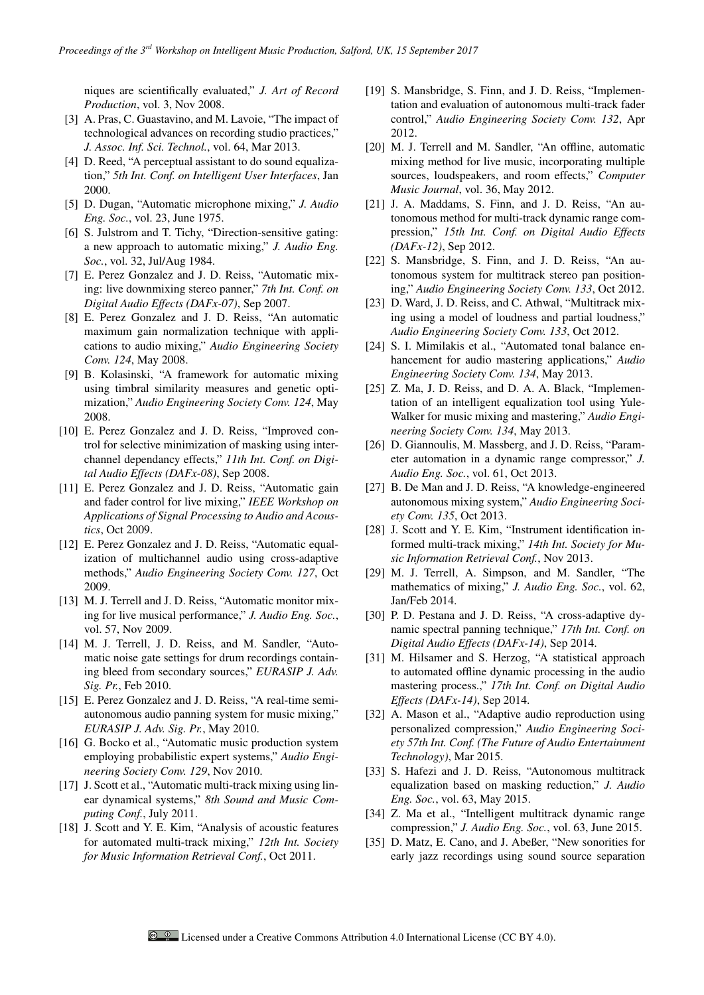niques are scientifically evaluated," *J. Art of Record Production*, vol. 3, Nov 2008.

- <span id="page-3-0"></span>[3] A. Pras, C. Guastavino, and M. Lavoie, "The impact of technological advances on recording studio practices," *J. Assoc. Inf. Sci. Technol.*, vol. 64, Mar 2013.
- <span id="page-3-1"></span>[4] D. Reed, "A perceptual assistant to do sound equalization," *5th Int. Conf. on Intelligent User Interfaces*, Jan 2000.
- <span id="page-3-2"></span>[5] D. Dugan, "Automatic microphone mixing," *J. Audio Eng. Soc.*, vol. 23, June 1975.
- <span id="page-3-3"></span>[6] S. Julstrom and T. Tichy, "Direction-sensitive gating: a new approach to automatic mixing," *J. Audio Eng. Soc.*, vol. 32, Jul/Aug 1984.
- <span id="page-3-4"></span>[7] E. Perez Gonzalez and J. D. Reiss, "Automatic mixing: live downmixing stereo panner," *7th Int. Conf. on Digital Audio Effects (DAFx-07)*, Sep 2007.
- <span id="page-3-5"></span>[8] E. Perez Gonzalez and J. D. Reiss, "An automatic maximum gain normalization technique with applications to audio mixing," *Audio Engineering Society Conv. 124*, May 2008.
- <span id="page-3-10"></span>[9] B. Kolasinski, "A framework for automatic mixing using timbral similarity measures and genetic optimization," *Audio Engineering Society Conv. 124*, May 2008.
- <span id="page-3-9"></span>[10] E. Perez Gonzalez and J. D. Reiss, "Improved control for selective minimization of masking using interchannel dependancy effects," *11th Int. Conf. on Digital Audio Effects (DAFx-08)*, Sep 2008.
- <span id="page-3-6"></span>[11] E. Perez Gonzalez and J. D. Reiss, "Automatic gain and fader control for live mixing," *IEEE Workshop on Applications of Signal Processing to Audio and Acoustics*, Oct 2009.
- <span id="page-3-8"></span>[12] E. Perez Gonzalez and J. D. Reiss, "Automatic equalization of multichannel audio using cross-adaptive methods," *Audio Engineering Society Conv. 127*, Oct 2009.
- <span id="page-3-11"></span>[13] M. J. Terrell and J. D. Reiss, "Automatic monitor mixing for live musical performance," *J. Audio Eng. Soc.*, vol. 57, Nov 2009.
- <span id="page-3-12"></span>[14] M. J. Terrell, J. D. Reiss, and M. Sandler, "Automatic noise gate settings for drum recordings containing bleed from secondary sources," *EURASIP J. Adv. Sig. Pr.*, Feb 2010.
- <span id="page-3-7"></span>[15] E. Perez Gonzalez and J. D. Reiss, "A real-time semiautonomous audio panning system for music mixing," *EURASIP J. Adv. Sig. Pr.*, May 2010.
- <span id="page-3-13"></span>[16] G. Bocko et al., "Automatic music production system employing probabilistic expert systems," *Audio Engineering Society Conv. 129*, Nov 2010.
- <span id="page-3-14"></span>[17] J. Scott et al., "Automatic multi-track mixing using linear dynamical systems," *8th Sound and Music Computing Conf.*, July 2011.
- <span id="page-3-15"></span>[18] J. Scott and Y. E. Kim, "Analysis of acoustic features for automated multi-track mixing," *12th Int. Society for Music Information Retrieval Conf.*, Oct 2011.
- <span id="page-3-16"></span>[19] S. Mansbridge, S. Finn, and J. D. Reiss, "Implementation and evaluation of autonomous multi-track fader control," *Audio Engineering Society Conv. 132*, Apr 2012.
- <span id="page-3-17"></span>[20] M. J. Terrell and M. Sandler, "An offline, automatic mixing method for live music, incorporating multiple sources, loudspeakers, and room effects," *Computer Music Journal*, vol. 36, May 2012.
- <span id="page-3-18"></span>[21] J. A. Maddams, S. Finn, and J. D. Reiss, "An autonomous method for multi-track dynamic range compression," *15th Int. Conf. on Digital Audio Effects (DAFx-12)*, Sep 2012.
- <span id="page-3-19"></span>[22] S. Mansbridge, S. Finn, and J. D. Reiss, "An autonomous system for multitrack stereo pan positioning," *Audio Engineering Society Conv. 133*, Oct 2012.
- <span id="page-3-20"></span>[23] D. Ward, J. D. Reiss, and C. Athwal, "Multitrack mixing using a model of loudness and partial loudness," *Audio Engineering Society Conv. 133*, Oct 2012.
- <span id="page-3-21"></span>[24] S. I. Mimilakis et al., "Automated tonal balance enhancement for audio mastering applications," *Audio Engineering Society Conv. 134*, May 2013.
- <span id="page-3-22"></span>[25] Z. Ma, J. D. Reiss, and D. A. A. Black, "Implementation of an intelligent equalization tool using Yule-Walker for music mixing and mastering," *Audio Engineering Society Conv. 134*, May 2013.
- <span id="page-3-23"></span>[26] D. Giannoulis, M. Massberg, and J. D. Reiss, "Parameter automation in a dynamic range compressor," *J. Audio Eng. Soc.*, vol. 61, Oct 2013.
- <span id="page-3-24"></span>[27] B. De Man and J. D. Reiss, "A knowledge-engineered autonomous mixing system," *Audio Engineering Society Conv. 135*, Oct 2013.
- <span id="page-3-25"></span>[28] J. Scott and Y. E. Kim, "Instrument identification informed multi-track mixing," *14th Int. Society for Music Information Retrieval Conf.*, Nov 2013.
- <span id="page-3-26"></span>[29] M. J. Terrell, A. Simpson, and M. Sandler, "The mathematics of mixing," *J. Audio Eng. Soc.*, vol. 62, Jan/Feb 2014.
- <span id="page-3-27"></span>[30] P. D. Pestana and J. D. Reiss, "A cross-adaptive dynamic spectral panning technique," *17th Int. Conf. on Digital Audio Effects (DAFx-14)*, Sep 2014.
- <span id="page-3-28"></span>[31] M. Hilsamer and S. Herzog, "A statistical approach to automated offline dynamic processing in the audio mastering process.," *17th Int. Conf. on Digital Audio Effects (DAFx-14)*, Sep 2014.
- <span id="page-3-29"></span>[32] A. Mason et al., "Adaptive audio reproduction using personalized compression," *Audio Engineering Society 57th Int. Conf. (The Future of Audio Entertainment Technology)*, Mar 2015.
- <span id="page-3-30"></span>[33] S. Hafezi and J. D. Reiss, "Autonomous multitrack equalization based on masking reduction," *J. Audio Eng. Soc.*, vol. 63, May 2015.
- <span id="page-3-31"></span>[34] Z. Ma et al., "Intelligent multitrack dynamic range compression," *J. Audio Eng. Soc.*, vol. 63, June 2015.
- <span id="page-3-32"></span>[35] D. Matz, E. Cano, and J. Abeßer, "New sonorities for early jazz recordings using sound source separation